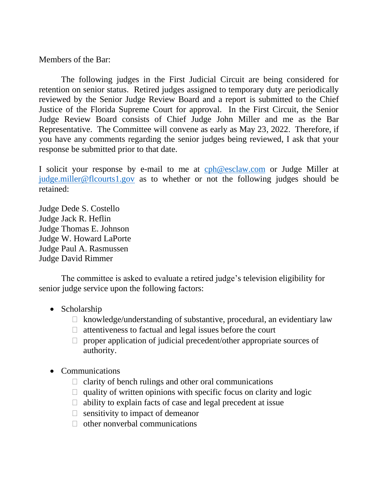Members of the Bar:

The following judges in the First Judicial Circuit are being considered for retention on senior status. Retired judges assigned to temporary duty are periodically reviewed by the Senior Judge Review Board and a report is submitted to the Chief Justice of the Florida Supreme Court for approval. In the First Circuit, the Senior Judge Review Board consists of Chief Judge John Miller and me as the Bar Representative. The Committee will convene as early as May 23, 2022. Therefore, if you have any comments regarding the senior judges being reviewed, I ask that your response be submitted prior to that date.

I solicit your response by e-mail to me at [cph@esclaw.com](mailto:cph@esclaw.com) or Judge Miller at [judge.miller@flcourts1.gov](mailto:judge.miller@flcourts1.gov) as to whether or not the following judges should be retained:

Judge Dede S. Costello Judge Jack R. Heflin Judge Thomas E. Johnson Judge W. Howard LaPorte Judge Paul A. Rasmussen Judge David Rimmer

The committee is asked to evaluate a retired judge's television eligibility for senior judge service upon the following factors:

- Scholarship
	- $\Box$  knowledge/understanding of substantive, procedural, an evidentiary law
	- $\Box$  attentiveness to factual and legal issues before the court
	- $\Box$  proper application of judicial precedent/other appropriate sources of authority.
- Communications
	- $\Box$  clarity of bench rulings and other oral communications
	- $\Box$  quality of written opinions with specific focus on clarity and logic
	- $\Box$  ability to explain facts of case and legal precedent at issue
	- $\Box$  sensitivity to impact of demeanor
	- $\Box$  other nonverbal communications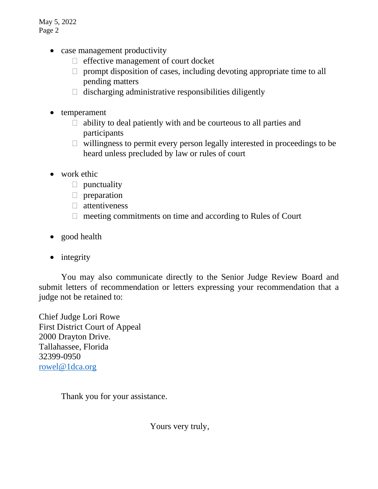May 5, 2022 Page 2

- case management productivity
	- $\Box$  effective management of court docket
	- $\Box$  prompt disposition of cases, including devoting appropriate time to all pending matters
	- $\Box$  discharging administrative responsibilities diligently
- temperament
	- $\Box$  ability to deal patiently with and be courteous to all parties and participants
	- $\Box$  willingness to permit every person legally interested in proceedings to be heard unless precluded by law or rules of court
- work ethic
	- $\Box$  punctuality
	- $\Box$  preparation
	- $\Box$  attentiveness
	- $\Box$  meeting commitments on time and according to Rules of Court
- good health
- integrity

You may also communicate directly to the Senior Judge Review Board and submit letters of recommendation or letters expressing your recommendation that a judge not be retained to:

Chief Judge Lori Rowe First District Court of Appeal 2000 Drayton Drive. Tallahassee, Florida 32399-0950 [rowel@1dca.org](mailto:thomasb@1dca.org)

Thank you for your assistance.

Yours very truly,